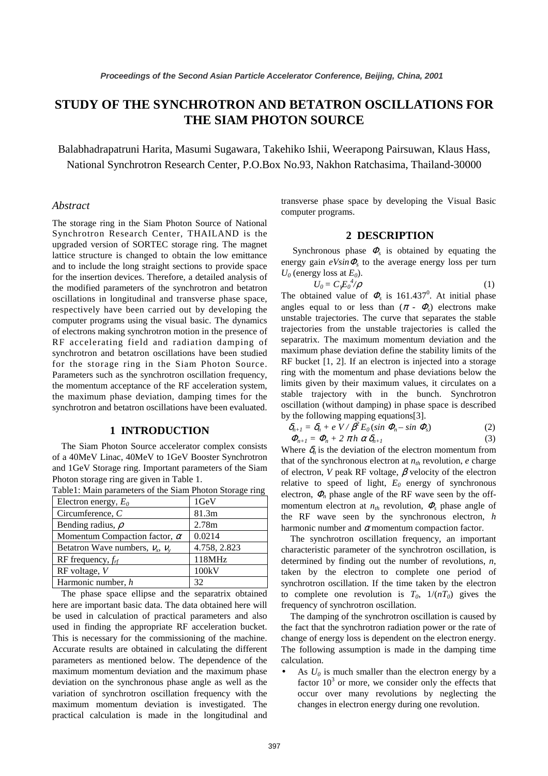# **STUDY OF THE SYNCHROTRON AND BETATRON OSCILLATIONS FOR THE SIAM PHOTON SOURCE**

Balabhadrapatruni Harita, Masumi Sugawara, Takehiko Ishii, Weerapong Pairsuwan, Klaus Hass, National Synchrotron Research Center, P.O.Box No.93, Nakhon Ratchasima, Thailand-30000

#### *Abstract*

The storage ring in the Siam Photon Source of National Synchrotron Research Center, THAILAND is the upgraded version of SORTEC storage ring. The magnet lattice structure is changed to obtain the low emittance and to include the long straight sections to provide space for the insertion devices. Therefore, a detailed analysis of the modified parameters of the synchrotron and betatron oscillations in longitudinal and transverse phase space, respectively have been carried out by developing the computer programs using the visual basic. The dynamics of electrons making synchrotron motion in the presence of RF accelerating field and radiation damping of synchrotron and betatron oscillations have been studied for the storage ring in the Siam Photon Source. Parameters such as the synchrotron oscillation frequency, the momentum acceptance of the RF acceleration system, the maximum phase deviation, damping times for the synchrotron and betatron oscillations have been evaluated.

## **1 INTRODUCTION**

The Siam Photon Source accelerator complex consists of a 40MeV Linac, 40MeV to 1GeV Booster Synchrotron and 1GeV Storage ring. Important parameters of the Siam Photon storage ring are given in Table 1.

| Electron energy, $E_0$               | 1GeV         |
|--------------------------------------|--------------|
| Circumference, $C$                   | 81.3m        |
| Bending radius, $\rho$               | 2.78m        |
| Momentum Compaction factor, $\alpha$ | 0.0214       |
| Betatron Wave numbers, $V_x$ , $V_y$ | 4.758, 2.823 |
| RF frequency, $f_{rf}$               | 118MHz       |
| $RF$ voltage, $V$                    | 100kV        |
| Harmonic number, h                   | 32           |

Table1: Main parameters of the Siam Photon Storage ring

The phase space ellipse and the separatrix obtained here are important basic data. The data obtained here will be used in calculation of practical parameters and also used in finding the appropriate RF acceleration bucket. This is necessary for the commissioning of the machine. Accurate results are obtained in calculating the different parameters as mentioned below. The dependence of the maximum momentum deviation and the maximum phase deviation on the synchronous phase angle as well as the variation of synchrotron oscillation frequency with the maximum momentum deviation is investigated. The practical calculation is made in the longitudinal and transverse phase space by developing the Visual Basic computer programs.

#### **2 DESCRIPTION**

Synchronous phase  $\Phi_s$  is obtained by equating the energy gain  $eV\sin\Phi_s$  to the average energy loss per turn  $U_0$  (energy loss at  $E_0$ ).

$$
U_0 = C_2 E_0^4 / \rho \tag{1}
$$

The obtained value of  $\Phi_s$  is 161.437<sup>0</sup>. At initial phase angles equal to or less than  $(\pi - \Phi_s)$  electrons make unstable trajectories. The curve that separates the stable trajectories from the unstable trajectories is called the separatrix. The maximum momentum deviation and the maximum phase deviation define the stability limits of the RF bucket [1, 2]. If an electron is injected into a storage ring with the momentum and phase deviations below the limits given by their maximum values, it circulates on a stable trajectory with in the bunch. Synchrotron oscillation (without damping) in phase space is described by the following mapping equations[3].

$$
\delta_{n+1} = \delta_n + e V / \beta^2 E_0 (\sin \Phi_n - \sin \Phi_s)
$$
\n
$$
\Phi_{n+1} = \Phi_n + 2 \pi h \alpha \delta_{n+1}
$$
\n(2)

Where  $\delta_n$  is the deviation of the electron momentum from that of the synchronous electron at  $n<sub>th</sub>$  revolution,  $e$  charge of electron, *V* peak RF voltage, β velocity of the electron relative to speed of light,  $E_0$  energy of synchronous electron,  $\Phi_n$  phase angle of the RF wave seen by the offmomentum electron at  $n_{th}$  revolution,  $\Phi$ <sub>s</sub> phase angle of the RF wave seen by the synchronous electron, *h* harmonic number and  $\alpha$  momentum compaction factor.

The synchrotron oscillation frequency, an important characteristic parameter of the synchrotron oscillation, is determined by finding out the number of revolutions, *n*, taken by the electron to complete one period of synchrotron oscillation. If the time taken by the electron to complete one revolution is  $T_0$ ,  $1/(nT_0)$  gives the frequency of synchrotron oscillation.

The damping of the synchrotron oscillation is caused by the fact that the synchrotron radiation power or the rate of change of energy loss is dependent on the electron energy. The following assumption is made in the damping time calculation.

• As  $U_0$  is much smaller than the electron energy by a factor  $10<sup>3</sup>$  or more, we consider only the effects that occur over many revolutions by neglecting the changes in electron energy during one revolution.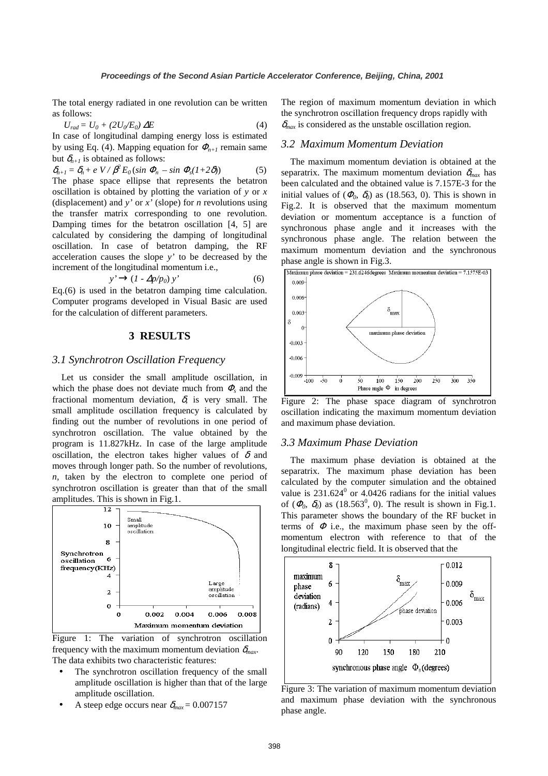The total energy radiated in one revolution can be written as follows:

$$
U_{rad} = U_0 + (2U_0/E_0) \Delta E \tag{4}
$$

In case of longitudinal damping energy loss is estimated by using Eq. (4). Mapping equation for  $\Phi_{n+1}$  remain same but  $\delta_{n+1}$  is obtained as follows:

$$
\delta_{n+1} = \delta_n + e \, V / \beta^2 E_0 (\sin \Phi_n - \sin \Phi_s (1+2\delta))
$$
 (5)  
The phase space ellipse that represents the betatron oscillation is obtained by plotting the variation of y or x (displacement) and y' or x' (slope) for n revolutions using the transfer matrix corresponding to one revolution.  
Damping times for the betatron oscillation [4, 5] are calculated by considering the damping of longitudinal oscillation. In case of betatron damping, the RF acceleration causes the slope y' to be decreased by the increment of the longitudinal momentum i.e.,

$$
y' \rightarrow (1 - \Delta p/p_0) y'
$$
 (6)

Eq.(6) is used in the betatron damping time calculation. Computer programs developed in Visual Basic are used for the calculation of different parameters.

# **3 RESULTS**

# *3.1 Synchrotron Oscillation Frequency*

Let us consider the small amplitude oscillation, in which the phase does not deviate much from  $\Phi_s$  and the fractional momentum deviation,  $\delta$ , is very small. The small amplitude oscillation frequency is calculated by finding out the number of revolutions in one period of synchrotron oscillation. The value obtained by the program is 11.827kHz. In case of the large amplitude oscillation, the electron takes higher values of  $\delta$  and moves through longer path. So the number of revolutions, *n,* taken by the electron to complete one period of synchrotron oscillation is greater than that of the small amplitudes. This is shown in Fig.1.





- The synchrotron oscillation frequency of the small amplitude oscillation is higher than that of the large amplitude oscillation.
- A steep edge occurs near  $\delta_{max} = 0.007157$

The region of maximum momentum deviation in which the synchrotron oscillation frequency drops rapidly with  $\delta_{max}$  is considered as the unstable oscillation region.

# *3.2 Maximum Momentum Deviation*

The maximum momentum deviation is obtained at the separatrix. The maximum momentum deviation  $\delta_{max}$  has been calculated and the obtained value is 7.157E-3 for the initial values of  $(\Phi_0, \delta_0)$  as (18.563, 0). This is shown in Fig.2. It is observed that the maximum momentum deviation or momentum acceptance is a function of synchronous phase angle and it increases with the synchronous phase angle. The relation between the maximum momentum deviation and the synchronous phase angle is shown in Fig.3.



Figure 2: The phase space diagram of synchrotron oscillation indicating the maximum momentum deviation and maximum phase deviation.

#### *3.3 Maximum Phase Deviation*

The maximum phase deviation is obtained at the separatrix. The maximum phase deviation has been calculated by the computer simulation and the obtained value is  $231.624^{\circ}$  or 4.0426 radians for the initial values of  $(\Phi_0, \delta_0)$  as  $(18.563^0, 0)$ . The result is shown in Fig.1. This parameter shows the boundary of the RF bucket in terms of  $\Phi$  i.e., the maximum phase seen by the offmomentum electron with reference to that of the longitudinal electric field. It is observed that the



Figure 3: The variation of maximum momentum deviation and maximum phase deviation with the synchronous phase angle.